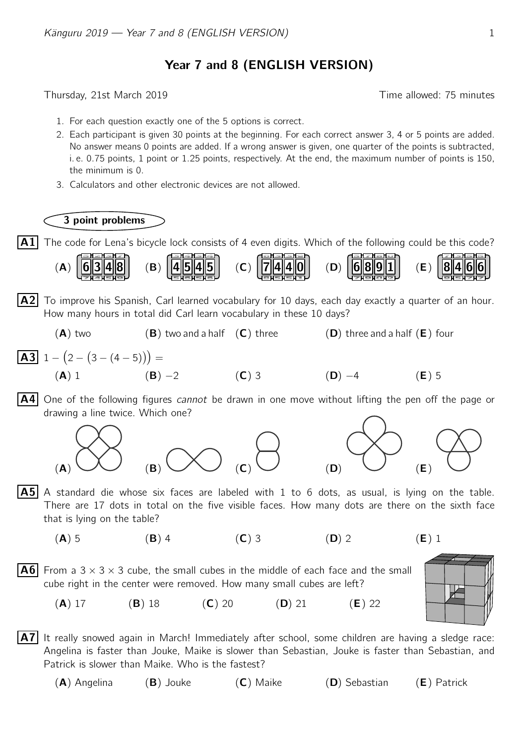## Year 7 and 8 (ENGLISH VERSION)

Thursday, 21st March 2019 Time allowed: 75 minutes

- 1. For each question exactly one of the 5 options is correct.
- 2. Each participant is given 30 points at the beginning. For each correct answer 3, 4 or 5 points are added. No answer means 0 points are added. If a wrong answer is given, one quarter of the points is subtracted, i. e. 0.75 points, 1 point or 1.25 points, respectively. At the end, the maximum number of points is 150, the minimum is 0.
- 3. Calculators and other electronic devices are not allowed.



 $\vert$  A1 The code for Lena's bicycle lock consists of 4 even digits. Which of the following could be this code?



- $|A2|$  To improve his Spanish, Carl learned vocabulary for 10 days, each day exactly a quarter of an hour. How many hours in total did Carl learn vocabulary in these 10 days?
- $(A)$  two  $(B)$  two and a half  $(C)$  three  $(D)$  three and a half  $(E)$  four **A3**  $1 - (2 - (3 - (4 - 5))) =$ (A) 1 (B) −2 (C) 3 (D) −4 (E) 5
- **A4** One of the following figures *cannot* be drawn in one move without lifting the pen off the page or drawing a line twice. Which one?





P

- $|A5|$  A standard die whose six faces are labeled with 1 to 6 dots, as usual, is lying on the table. There are 17 dots in total on the five visible faces. How many dots are there on the sixth face that is lying on the table?
	- (A) 5 (B) 4 (C) 3 (D) 2 (E) 1

**A6** From a 3  $\times$  3  $\times$  3 cube, the small cubes in the middle of each face and the small cube right in the center were removed. How many small cubes are left?

(A) 17 (B) 18 (C) 20 (D) 21 (E) 22

- $|A7|$  It really snowed again in March! Immediately after school, some children are having a sledge race: Angelina is faster than Jouke, Maike is slower than Sebastian, Jouke is faster than Sebastian, and Patrick is slower than Maike. Who is the fastest?
	- (A) Angelina (B) Jouke (C) Maike (D) Sebastian (E) Patrick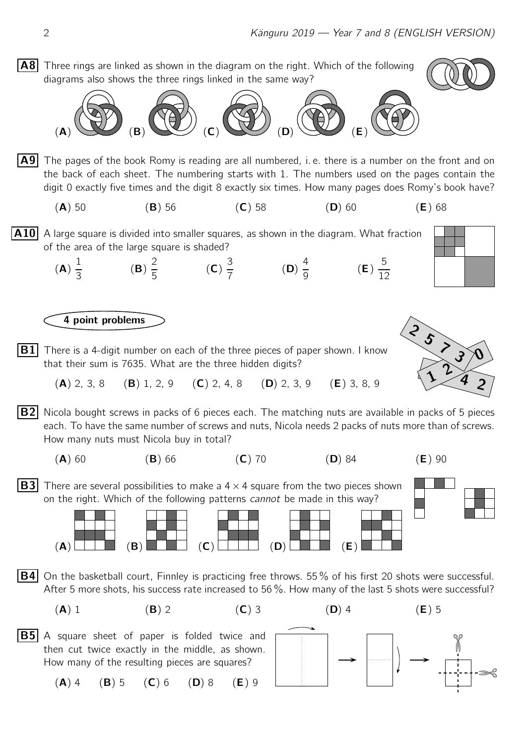$|AB|$  Three rings are linked as shown in the diagram on the right. Which of the following diagrams also shows the three rings linked in the same way?





 $|A9|$  The pages of the book Romy is reading are all numbered, i. e. there is a number on the front and on the back of each sheet. The numbering starts with 1. The numbers used on the pages contain the digit 0 exactly five times and the digit 8 exactly six times. How many pages does Romy's book have?

- (A) 50 (B) 56 (C) 58 (D) 60 (E) 68
- $|\mathbf{A10}|$  A large square is divided into smaller squares, as shown in the diagram. What fraction of the area of the large square is shaded?



4 point problems

- **B1** There is a 4-digit number on each of the three pieces of paper shown. I know that their sum is 7635. What are the three hidden digits?
	- (A) 2, 3, 8 (B) 1, 2, 9 (C) 2, 4, 8 (D) 2, 3, 9 (E) 3, 8, 9
- $|B2|$  Nicola bought screws in packs of 6 pieces each. The matching nuts are available in packs of 5 pieces each. To have the same number of screws and nuts, Nicola needs 2 packs of nuts more than of screws. How many nuts must Nicola buy in total?
	- $(A)$  60  $(B)$  66  $(C)$  70  $(D)$  84  $(E)$  90



**B3** There are several possibilities to make a  $4 \times 4$  square from the two pieces shown on the right. Which of the following patterns *cannot* be made in this way?



- **B4** On the basketball court, Finnley is practicing free throws. 55% of his first 20 shots were successful. After 5 more shots, his success rate increased to 56 %. How many of the last 5 shots were successful?
	-

 $|B5|$  A square sheet of paper is folded twice and then cut twice exactly in the middle, as shown. How many of the resulting pieces are squares?

$$
(A) 4 (B) 5 (C) 6 (D) 8 (E) 9
$$





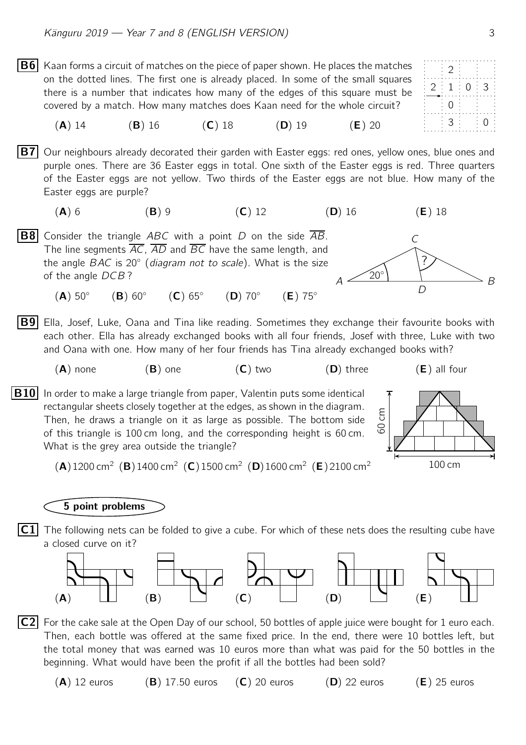- 2  $2 : 1 : 0 : 3$ 0 3 0 **B6** Kaan forms a circuit of matches on the piece of paper shown. He places the matches on the dotted lines. The first one is already placed. In some of the small squares there is a number that indicates how many of the edges of this square must be covered by a match. How many matches does Kaan need for the whole circuit? (A) 14 (B) 16 (C) 18 (D) 19 (E) 20  $|B7|$  Our neighbours already decorated their garden with Easter eggs: red ones, yellow ones, blue ones and purple ones. There are 36 Easter eggs in total. One sixth of the Easter eggs is red. Three quarters of the Easter eggs are not yellow. Two thirds of the Easter eggs are not blue. How many of the Easter eggs are purple? (A) 6 (B) 9 (C) 12 (D) 16 (E) 18  $A \stackrel{\sim}{\longrightarrow} B$  $\mathcal{C}$  $\overline{D}$  $20^{\circ}$ ? **B8** Consider the triangle ABC with a point D on the side  $\overline{AB}$ . The line segments AC, AD and BC have the same length, and the angle  $BAC$  is 20 $^{\circ}$  (*diagram not to scale*). What is the size of the angle DCB ?  $(A)$  50 $^{\circ}$  $(B)$  60 $\degree$  $(C) 65^\circ$  $(D)$  70 $^{\circ}$  $(E)$  75°
- **B9** Ella, Josef, Luke, Oana and Tina like reading. Sometimes they exchange their favourite books with each other. Ella has already exchanged books with all four friends, Josef with three, Luke with two and Oana with one. How many of her four friends has Tina already exchanged books with?
	- $(A)$  none  $(B)$  one  $(C)$  two  $(D)$  three  $(E)$  all four
- $|B10|$  In order to make a large triangle from paper, Valentin puts some identical rectangular sheets closely together at the edges, as shown in the diagram. Then, he draws a triangle on it as large as possible. The bottom side of this triangle is 100 cm long, and the corresponding height is 60 cm. What is the grey area outside the triangle?



 $(A)$ 1200 cm<sup>2</sup> (B)1400 cm<sup>2</sup> (C)1500 cm<sup>2</sup> (D)1600 cm<sup>2</sup> (E)2100 cm<sup>2</sup>

## 5 point problems

 $|\mathsf{C1}|$  The following nets can be folded to give a cube. For which of these nets does the resulting cube have a closed curve on it?



- $|C2|$  For the cake sale at the Open Day of our school, 50 bottles of apple juice were bought for 1 euro each. Then, each bottle was offered at the same fixed price. In the end, there were 10 bottles left, but the total money that was earned was 10 euros more than what was paid for the 50 bottles in the beginning. What would have been the profit if all the bottles had been sold?
	- (A) 12 euros (B) 17.50 euros (C) 20 euros (D) 22 euros (E) 25 euros